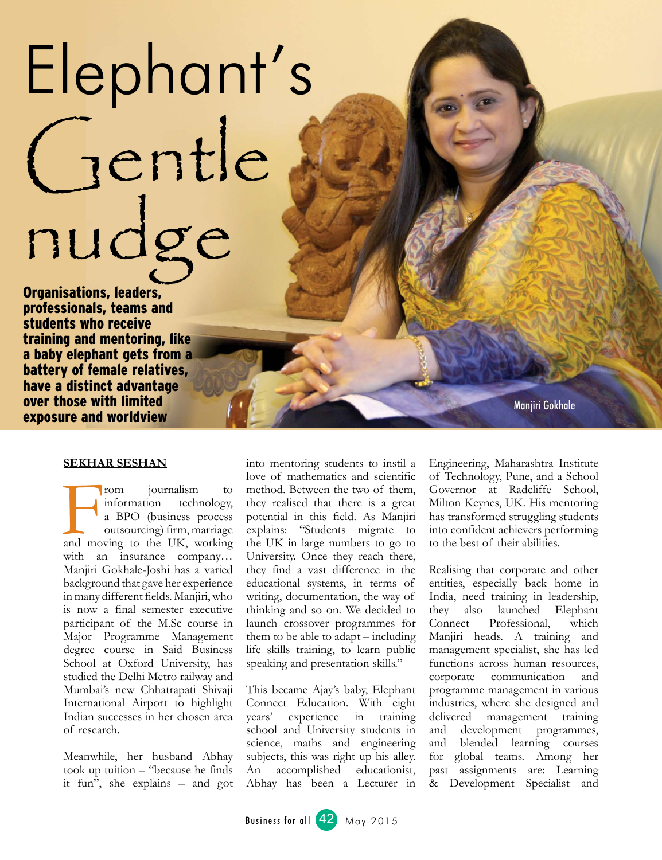## Elephant's gentle nudge

Organisations, leaders, professionals, teams and students who receive training and mentoring, like a baby elephant gets from a battery of female relatives, have a distinct advantage over those with limited exposure and worldview

Manjiri Gokhale

## **Sekhar Seshan**

From journalism to information technology,<br>
a BPO (business process outsourcing) firm, marriage<br>
and moving to the UK, working information technology, a BPO (business process outsourcing) firm, marriage with an insurance company… Manjiri Gokhale-Joshi has a varied background that gave her experience in many different fields. Manjiri, who is now a final semester executive participant of the M.Sc course in Major Programme Management degree course in Said Business School at Oxford University, has studied the Delhi Metro railway and Mumbai's new Chhatrapati Shivaji International Airport to highlight Indian successes in her chosen area of research.

Meanwhile, her husband Abhay took up tuition – "because he finds it fun", she explains – and got

into mentoring students to instil a love of mathematics and scientific method. Between the two of them, they realised that there is a great potential in this field. As Manjiri explains: "Students migrate to the UK in large numbers to go to University. Once they reach there, they find a vast difference in the educational systems, in terms of writing, documentation, the way of thinking and so on. We decided to launch crossover programmes for them to be able to adapt – including life skills training, to learn public speaking and presentation skills."

This became Ajay's baby, Elephant Connect Education. With eight years' experience in training school and University students in science, maths and engineering subjects, this was right up his alley. An accomplished educationist, Abhay has been a Lecturer in

Engineering, Maharashtra Institute of Technology, Pune, and a School Governor at Radcliffe School, Milton Keynes, UK. His mentoring has transformed struggling students into confident achievers performing to the best of their abilities.

Realising that corporate and other entities, especially back home in India, need training in leadership, they also launched Elephant Connect Professional, which Manjiri heads. A training and management specialist, she has led functions across human resources, corporate communication and programme management in various industries, where she designed and delivered management training and development programmes, and blended learning courses for global teams. Among her past assignments are: Learning & Development Specialist and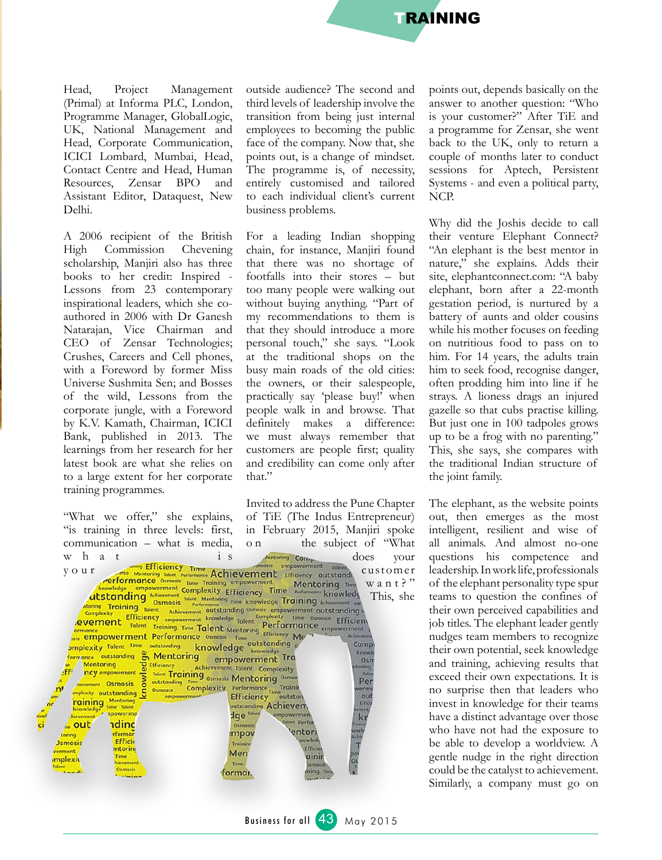

Head, Project Management (Primal) at Informa PLC, London, Programme Manager, GlobalLogic, UK, National Management and Head, Corporate Communication, ICICI Lombard, Mumbai, Head, Contact Centre and Head, Human Resources, Zensar BPO and Assistant Editor, Dataquest, New Delhi.

A 2006 recipient of the British High Commission Chevening scholarship, Manjiri also has three books to her credit: Inspired - Lessons from 23 contemporary inspirational leaders, which she coauthored in 2006 with Dr Ganesh Natarajan, Vice Chairman and CEO of Zensar Technologies; Crushes, Careers and Cell phones, with a Foreword by former Miss Universe Sushmita Sen; and Bosses of the wild, Lessons from the corporate jungle, with a Foreword by K.V. Kamath, Chairman, ICICI Bank, published in 2013. The learnings from her research for her latest book are what she relies on to a large extent for her corporate training programmes.

outside audience? The second and third levels of leadership involve the transition from being just internal employees to becoming the public face of the company. Now that, she points out, is a change of mindset. The programme is, of necessity, entirely customised and tailored to each individual client's current business problems.

For a leading Indian shopping chain, for instance, Manjiri found that there was no shortage of footfalls into their stores – but too many people were walking out without buying anything. "Part of my recommendations to them is that they should introduce a more personal touch," she says. "Look at the traditional shops on the busy main roads of the old cities: the owners, or their salespeople, practically say 'please buy!' when people walk in and browse. That definitely makes a difference: we must always remember that customers are people first; quality and credibility can come only after that."

Invited to address the Pune Chapter "What we offer," she explains, of TiE (The Indus Entrepreneur) "is training in three levels: first, in February 2015, Manjiri spoke o n the subject of "What communication – what is media, W h a t is wertoring Comparison in the Efficiency Time Achievement movement Takent Takent Takent Merricromance osmosis Time Training empowerment Mentoring Time entoring COTT<sub>r</sub><br>psis empowerment Toler does your customer y o u r and Markoving Tate Methodics Complexity Efficiency Time Methoding Complexity The Training empowerment Efficiency untstanding Complexity (Markoving Tate Methoding Complexity Efficiency Time Methoding Complexity Comp  $w$  a n t ? " This, she Time Osmosis Efficient Comp outstanding on Mentoring empowerment Training know Mentoring<br>
Mentoring<br>
ncy empowerment<br>
Comparison of Tolent Transfer of Transfer of Transfer of Transfer of Transfer of Transfer of Transfer of Transfer of Transfer of Transfer of Transfer of Transfer of Transfer of Transf Osn toring<br>Tok **JFFF** Tellitency Achievement Talent Complexity<br>Talent Training <sub>Osmosis</sub> Mentoring Osmos ry maximum of the development<br>
Supplement Osmosis<br>
Supplement outstanding Per<sub>re</sub> outstanding Time Osmosis Mentoring Osmosis<br>
Osmosis Complexity Performance Training<br>
empowerment Efficiency Outstand<br>
entreprised Ochiolated oul **raining** Mentering outstanding Achievem. knowledge men<br>Ikit powerme dge<sup>tale</sup> npowerme dinc ent Perfo  $\omega$  out  $0<sub>3</sub>$ entori mpov rforma **Coring** Efficie Jsmosis Trainin Effici **Intorino** rerment Men Time aini mplexi  $^{\circ}$ Time format.

points out, depends basically on the answer to another question: "Who is your customer?" After TiE and a programme for Zensar, she went back to the UK, only to return a couple of months later to conduct sessions for Aptech, Persistent Systems - and even a political party, NCP.

Why did the Joshis decide to call their venture Elephant Connect? "An elephant is the best mentor in nature," she explains. Adds their site, elephantconnect.com: "A baby elephant, born after a 22-month gestation period, is nurtured by a battery of aunts and older cousins while his mother focuses on feeding on nutritious food to pass on to him. For 14 years, the adults train him to seek food, recognise danger, often prodding him into line if he strays. A lioness drags an injured gazelle so that cubs practise killing. But just one in 100 tadpoles grows up to be a frog with no parenting." This, she says, she compares with the traditional Indian structure of the joint family.

The elephant, as the website points out, then emerges as the most intelligent, resilient and wise of all animals. And almost no-one questions his competence and leadership. In work life, professionals of the elephant personality type spur teams to question the confines of their own perceived capabilities and job titles. The elephant leader gently nudges team members to recognize their own potential, seek knowledge and training, achieving results that exceed their own expectations. It is no surprise then that leaders who invest in knowledge for their teams have a distinct advantage over those who have not had the exposure to be able to develop a worldview. A gentle nudge in the right direction could be the catalyst to achievement. Similarly, a company must go on